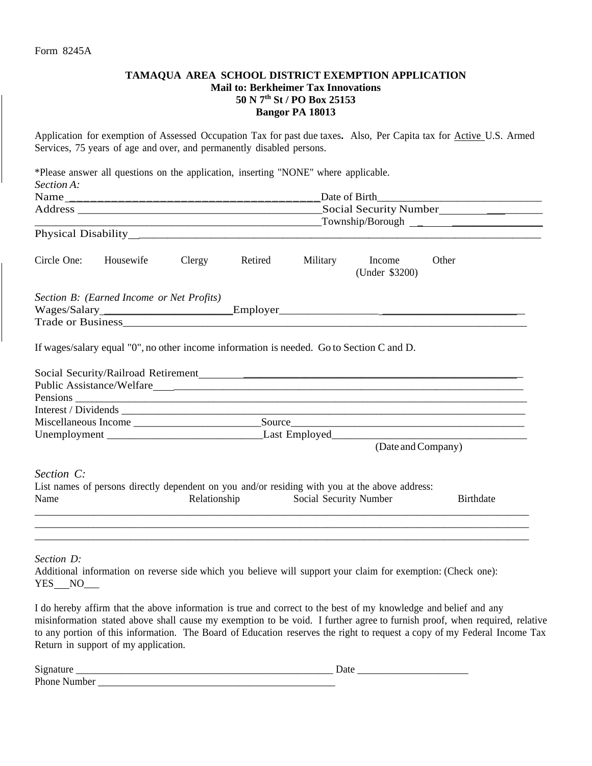## **TAMAQUA AREA SCHOOL DISTRICT EXEMPTION APPLICATION Mail to: Berkheimer Tax Innovations 50 N 7th St / PO Box 25153 Bangor PA 18013**

Application for exemption of Assessed Occupation Tax for past due taxes**.** Also, Per Capita tax for Active U.S. Armed Services, 75 years of age and over, and permanently disabled persons.

\*Please answer all questions on the application, inserting "NONE" where applicable. *Section A:* Name \_\_\_\_\_\_\_\_\_\_\_\_\_\_\_\_\_\_\_\_\_\_\_\_\_\_\_\_\_\_\_\_\_\_\_\_Date of Birth\_\_\_\_\_\_\_\_\_\_\_\_\_\_\_\_\_\_\_\_\_\_\_\_\_\_\_\_\_\_\_ Address  $\overline{\mathbf{A}}$ \_\_\_\_\_\_\_\_\_\_\_\_\_\_\_\_\_\_\_\_\_\_\_\_\_\_\_\_\_\_\_\_\_\_\_\_\_\_\_\_\_\_\_\_\_\_\_\_\_\_\_\_\_\_Township/Borough \_ \_\_\_\_\_\_\_\_\_\_\_\_\_\_\_\_\_ Physical Disability \_\_\_\_\_\_\_\_\_\_\_\_\_\_\_\_\_\_\_\_\_\_\_\_\_\_\_\_ Circle One: Housewife Clergy Retired Military Income Other (Under \$3200) *Section B: (Earned Income or Net Profits)* Wages/Salary \_\_\_\_\_\_\_\_\_\_\_\_\_\_\_\_\_\_\_\_\_\_\_\_\_\_\_\_Employer \_\_\_\_\_\_\_\_\_\_\_\_\_\_\_\_\_\_\_\_\_\_\_\_\_\_\_\_\_\_\_ Trade or Business If wages/salary equal "0", no other income information is needed. Go to Section C and D.

| Social Security/Railroad Retirement |                                                                                                |                  |
|-------------------------------------|------------------------------------------------------------------------------------------------|------------------|
| Public Assistance/Welfare           |                                                                                                |                  |
|                                     |                                                                                                |                  |
|                                     |                                                                                                |                  |
| Miscellaneous Income                | Source                                                                                         |                  |
|                                     |                                                                                                |                  |
|                                     | (Date and Company)                                                                             |                  |
| Section C:                          |                                                                                                |                  |
|                                     | List names of persons directly dependent on you and/or residing with you at the above address: |                  |
| Name                                | Relationship Social Security Number                                                            | <b>Birthdate</b> |
|                                     |                                                                                                |                  |
|                                     |                                                                                                |                  |
|                                     |                                                                                                |                  |

*Section D:* 

Additional information on reverse side which you believe will support your claim for exemption: (Check one): YES NO

I do hereby affirm that the above information is true and correct to the best of my knowledge and belief and any misinformation stated above shall cause my exemption to be void. I further agree to furnish proof, when required, relative to any portion of this information. The Board of Education reserves the right to request a copy of my Federal Income Tax Return in support of my application.

| $\sim$<br>້<br>____         | uu<br>_____<br>___<br>____<br>___ |
|-----------------------------|-----------------------------------|
| D <sup>1</sup><br><br>.<br> |                                   |